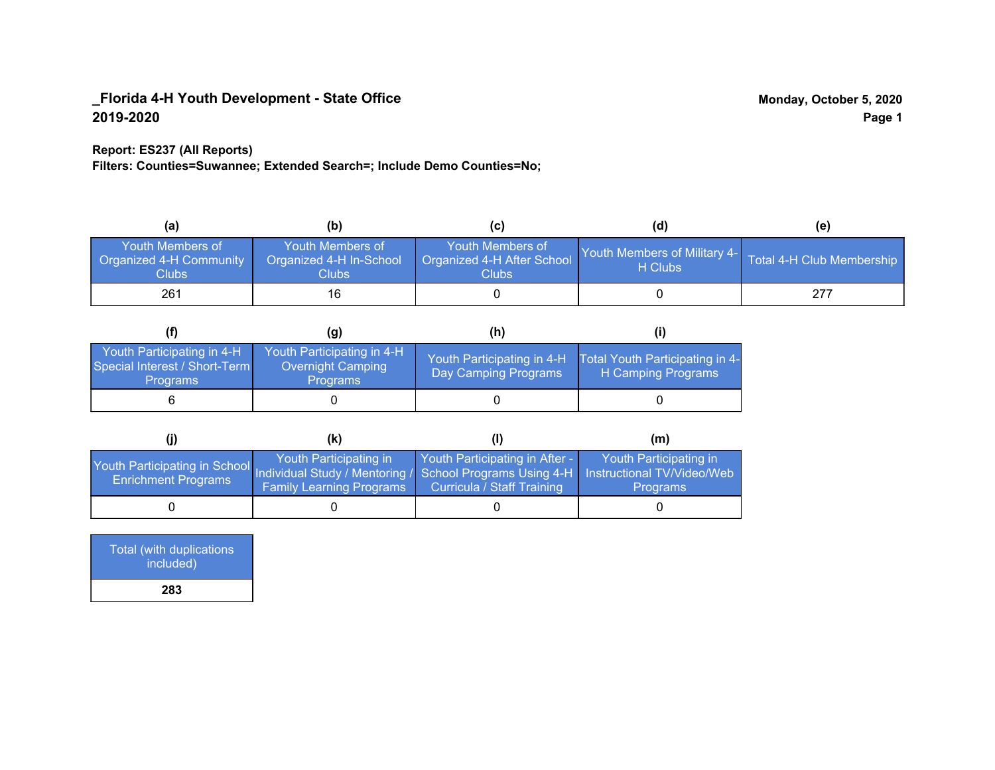### **Report: ES237 (All Reports)**

**Filters: Counties=Suwannee; Extended Search=; Include Demo Counties=No;**

| (a)                                                                | (b)                                                  |                                                         | (d)                                     | (e)                       |
|--------------------------------------------------------------------|------------------------------------------------------|---------------------------------------------------------|-----------------------------------------|---------------------------|
| <b>Youth Members of</b><br><b>Organized 4-H Community</b><br>Clubs | Youth Members of<br>Organized 4-H In-School<br>Clubs | Youth Members of<br>Organized 4-H After School<br>Clubs | Youth Members of Military 4-<br>H Clubs | Total 4-H Club Membership |
| 261                                                                | 16                                                   |                                                         |                                         | 277                       |

|                                                                                | (q)                                                                | (h)                                                |                                                       |
|--------------------------------------------------------------------------------|--------------------------------------------------------------------|----------------------------------------------------|-------------------------------------------------------|
| Youth Participating in 4-H<br>Special Interest / Short-Term<br><b>Programs</b> | Youth Participating in 4-H<br>Overnight Camping<br><b>Programs</b> | Youth Participating in 4-H<br>Day Camping Programs | Total Youth Participating in 4-<br>H Camping Programs |
|                                                                                |                                                                    |                                                    |                                                       |

|                                                                                                                                                   | (K)                                                       |                                                                     | (m)                                       |  |
|---------------------------------------------------------------------------------------------------------------------------------------------------|-----------------------------------------------------------|---------------------------------------------------------------------|-------------------------------------------|--|
| Youth Participating in School Individual Study / Mentoring / School Programs Using 4-H   Instructional TV/Video/Web<br><b>Enrichment Programs</b> | Youth Participating in<br><b>Family Learning Programs</b> | Youth Participating in After -<br><b>Curricula / Staff Training</b> | Youth Participating in<br><b>Programs</b> |  |
|                                                                                                                                                   |                                                           |                                                                     |                                           |  |

| <b>Total (with duplications)</b><br>included) |  |
|-----------------------------------------------|--|
| 283                                           |  |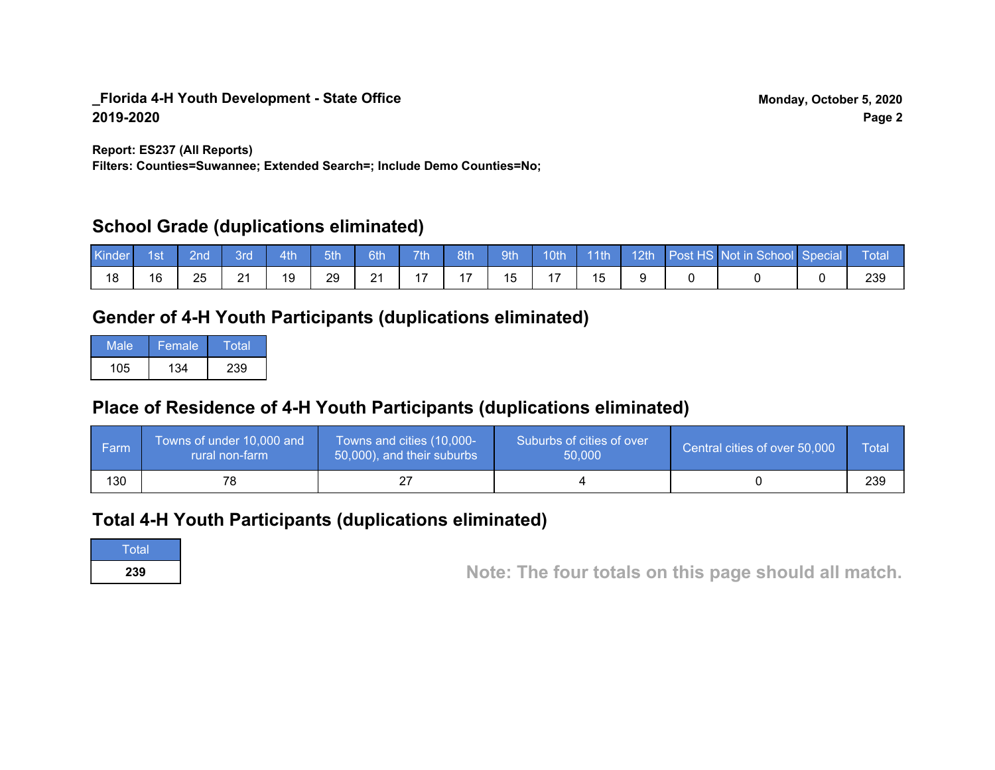**Report: ES237 (All Reports)**

**Filters: Counties=Suwannee; Extended Search=; Include Demo Counties=No;**

## **School Grade (duplications eliminated)**

| Kinder | 1st | 2nd' | <b>Brd</b> | 4th | 5th | 6th                 | 7th                      | 8th | 9th | 10 <sup>th</sup> | $\vert$ 11th | $\sqrt{12th/}$ | Post HS Not in School Special | Total |
|--------|-----|------|------------|-----|-----|---------------------|--------------------------|-----|-----|------------------|--------------|----------------|-------------------------------|-------|
| 18     | 16  | 25   | 21         | 19  | 29  | $\mathbf{A}$<br>- 1 | $\overline{\phantom{0}}$ |     | 15  |                  |              |                |                               | 239   |

# **Gender of 4-H Youth Participants (duplications eliminated)**

| Male | Female | Total |
|------|--------|-------|
| 105  | 134    | 239   |

# **Place of Residence of 4-H Youth Participants (duplications eliminated)**

| <b>Farm</b> | Towns of under 10,000 and<br>rural non-farm | Towns and cities (10,000-<br>50,000), and their suburbs | Suburbs of cities of over<br>50,000 | Central cities of over 50,000 | Total |
|-------------|---------------------------------------------|---------------------------------------------------------|-------------------------------------|-------------------------------|-------|
| 130         | 78                                          |                                                         |                                     |                               | 239   |

## **Total 4-H Youth Participants (duplications eliminated)**

**Total** 

**<sup>239</sup> Note: The four totals on this page should all match.**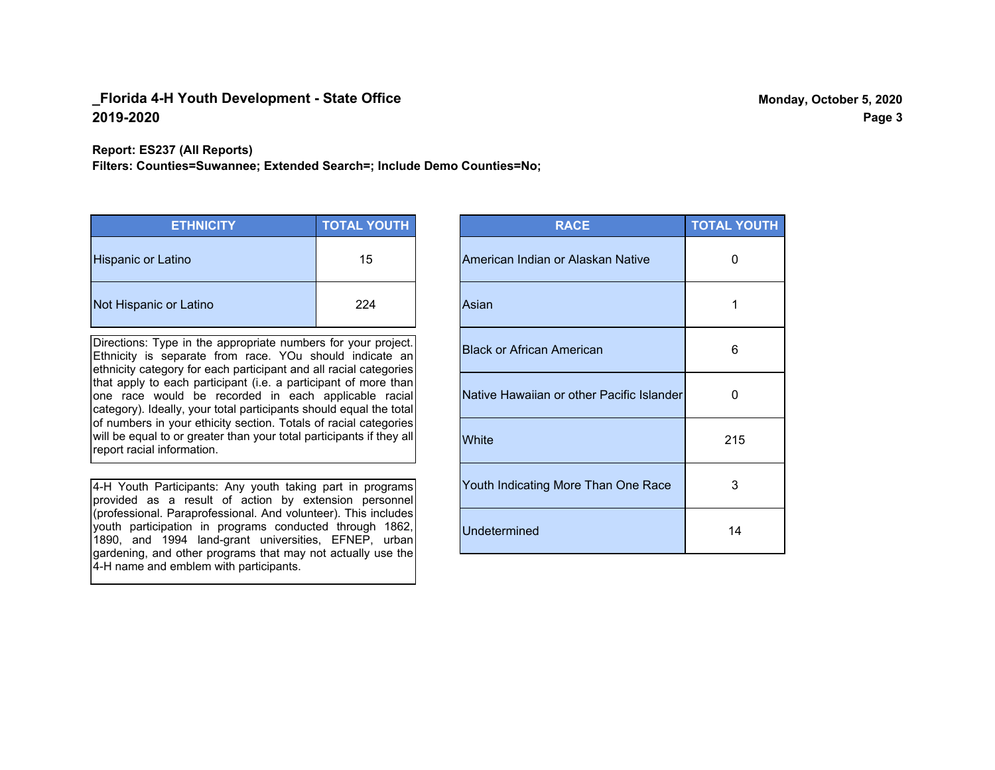#### **Report: ES237 (All Reports)**

**Filters: Counties=Suwannee; Extended Search=; Include Demo Counties=No;**

| <b>ETHNICITY</b>          | <b>TOTAL YOUTH</b> |
|---------------------------|--------------------|
| <b>Hispanic or Latino</b> | 15                 |
| Not Hispanic or Latino    | 224                |

Directions: Type in the appropriate numbers for your project. Ethnicity is separate from race. YOu should indicate an ethnicity category for each participant and all racial categories that apply to each participant (i.e. a participant of more than one race would be recorded in each applicable racial category). Ideally, your total participants should equal the total of numbers in your ethicity section. Totals of racial categories will be equal to or greater than your total participants if they all report racial information.

4-H Youth Participants: Any youth taking part in programs provided as a result of action by extension personnel (professional. Paraprofessional. And volunteer). This includes youth participation in programs conducted through 1862, 1890, and 1994 land-grant universities, EFNEP, urban gardening, and other programs that may not actually use the 4-H name and emblem with participants.

| <b>RACE</b>                               | <b>TOTAL YOUTH</b> |
|-------------------------------------------|--------------------|
| American Indian or Alaskan Native         | O                  |
| Asian                                     | 1                  |
| <b>Black or African American</b>          | 6                  |
| Native Hawaiian or other Pacific Islander | O                  |
| White                                     | 215                |
| Youth Indicating More Than One Race       | 3                  |
| <b>Undetermined</b>                       | 14                 |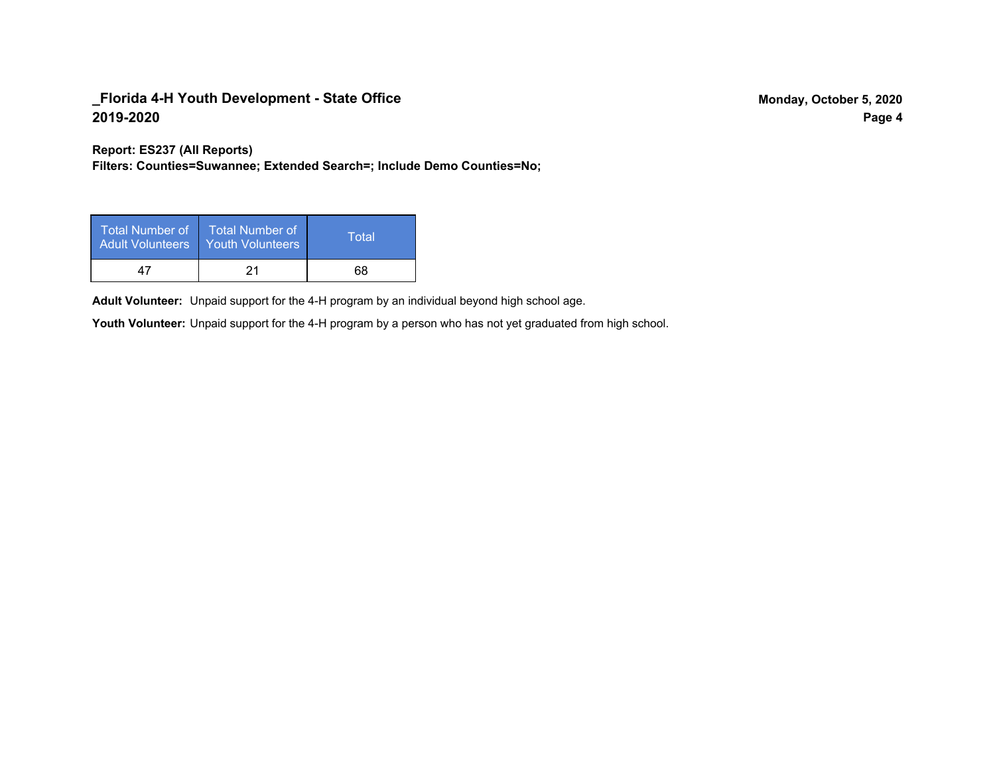**Report: ES237 (All Reports)**

**Filters: Counties=Suwannee; Extended Search=; Include Demo Counties=No;**

| Total Number of<br><b>Adult Volunteers</b> | <b>Total Number of</b><br><b>Youth Volunteers</b> | Total |  |
|--------------------------------------------|---------------------------------------------------|-------|--|
| 47                                         |                                                   | 68    |  |

Adult Volunteer: Unpaid support for the 4-H program by an individual beyond high school age.

Youth Volunteer: Unpaid support for the 4-H program by a person who has not yet graduated from high school.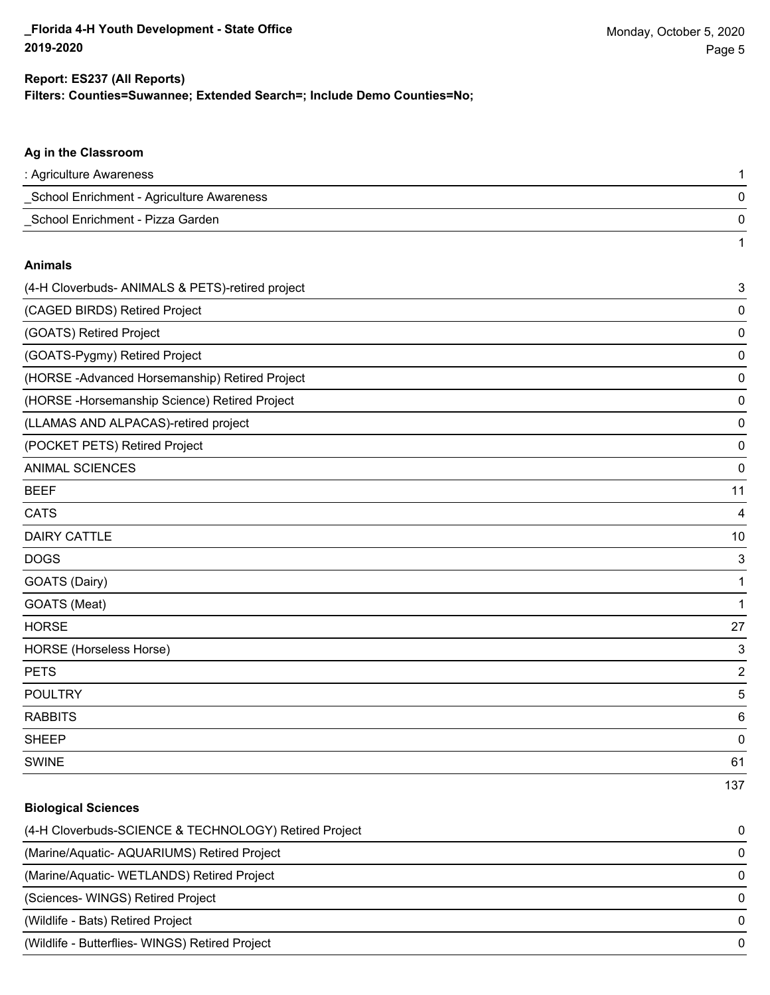1

### **Filters: Counties=Suwannee; Extended Search=; Include Demo Counties=No; Report: ES237 (All Reports)**

# **Ag in the Classroom** : Agriculture Awareness 1 \_School Enrichment - Agriculture Awareness 0 \_School Enrichment - Pizza Garden 0 **Animals** (4-H Cloverbuds- ANIMALS & PETS)-retired project 3 (CAGED BIRDS) Retired Project 0 (GOATS) Retired Project 0 (GOATS-Pygmy) Retired Project 0 (HORSE -Advanced Horsemanship) Retired Project 0 (HORSE -Horsemanship Science) Retired Project 0 (LLAMAS AND ALPACAS)-retired project 0

(POCKET PETS) Retired Project 0

ANIMAL SCIENCES 0

| BEEF |  | 44 |
|------|--|----|
|      |  |    |

| CATS |  |  |
|------|--|--|
|      |  |  |

| <b>DAIRY CATTLE</b> | 10 |
|---------------------|----|
|---------------------|----|

do distribution of the contract of the contract of the contract of the contract of the contract of the contract of the contract of the contract of the contract of the contract of the contract of the contract of the contrac

GOATS (Dairy) 1

GOATS (Meat) 1

HORSE 27

HORSE (Horseless Horse) 3

PETS 22 and 22 and 23 and 23 and 23 and 23 and 23 and 23 and 23 and 23 and 24 and 25 and 26 and 26 and 26 and 26 and 26 and 26 and 26 and 26 and 26 and 26 and 26 and 26 and 26 and 26 and 26 and 26 and 26 and 26 and 26 and

POULTRY 5

RABBITS 6

sheep to the control of the control of the control of the control of the control of the control of the control of the control of the control of the control of the control of the control of the control of the control of the

SWINE 61

# 137

# **Biological Sciences** (4-H Cloverbuds-SCIENCE & TECHNOLOGY) Retired Project 0 (Marine/Aquatic- AQUARIUMS) Retired Project 0 (Marine/Aquatic- WETLANDS) Retired Project 0 (Sciences- WINGS) Retired Project 0 (Wildlife - Bats) Retired Project 0 (Wildlife - Butterflies- WINGS) Retired Project 0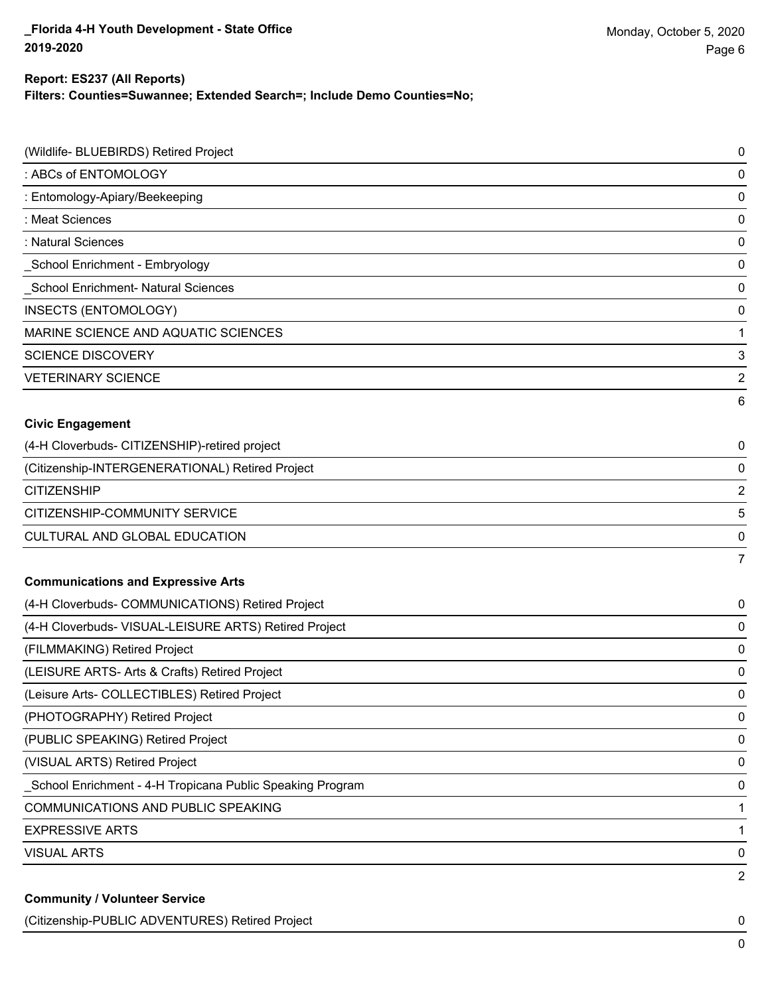**Filters: Counties=Suwannee; Extended Search=; Include Demo Counties=No;**

| (Wildlife- BLUEBIRDS) Retired Project                     | $\mathbf 0$    |
|-----------------------------------------------------------|----------------|
| : ABCs of ENTOMOLOGY                                      | 0              |
| : Entomology-Apiary/Beekeeping                            | $\mathbf 0$    |
| : Meat Sciences                                           | 0              |
| : Natural Sciences                                        | $\mathbf 0$    |
| School Enrichment - Embryology                            | 0              |
| <b>School Enrichment- Natural Sciences</b>                | $\mathbf 0$    |
| <b>INSECTS (ENTOMOLOGY)</b>                               | 0              |
| MARINE SCIENCE AND AQUATIC SCIENCES                       | 1              |
| <b>SCIENCE DISCOVERY</b>                                  | 3              |
| <b>VETERINARY SCIENCE</b>                                 | $\overline{2}$ |
|                                                           | 6              |
| <b>Civic Engagement</b>                                   |                |
| (4-H Cloverbuds- CITIZENSHIP)-retired project             | 0              |
| (Citizenship-INTERGENERATIONAL) Retired Project           | 0              |
| <b>CITIZENSHIP</b>                                        | $\overline{2}$ |
| CITIZENSHIP-COMMUNITY SERVICE                             | 5              |
| CULTURAL AND GLOBAL EDUCATION                             | 0              |
|                                                           | $\overline{7}$ |
| <b>Communications and Expressive Arts</b>                 |                |
| (4-H Cloverbuds- COMMUNICATIONS) Retired Project          | 0              |
| (4-H Cloverbuds- VISUAL-LEISURE ARTS) Retired Project     | 0              |
| (FILMMAKING) Retired Project                              | $\mathbf 0$    |
| (LEISURE ARTS- Arts & Crafts) Retired Project             | 0              |
| (Leisure Arts- COLLECTIBLES) Retired Project              | $\mathbf 0$    |
| (PHOTOGRAPHY) Retired Project                             | 0              |
| (PUBLIC SPEAKING) Retired Project                         | 0              |
| (VISUAL ARTS) Retired Project                             | 0              |
| School Enrichment - 4-H Tropicana Public Speaking Program | 0              |
| COMMUNICATIONS AND PUBLIC SPEAKING                        | 1              |
| <b>EXPRESSIVE ARTS</b>                                    | 1              |
| <b>VISUAL ARTS</b>                                        | $\pmb{0}$      |
| <b>Community / Volunteer Service</b>                      | $\overline{2}$ |
|                                                           |                |

(Citizenship-PUBLIC ADVENTURES) Retired Project 0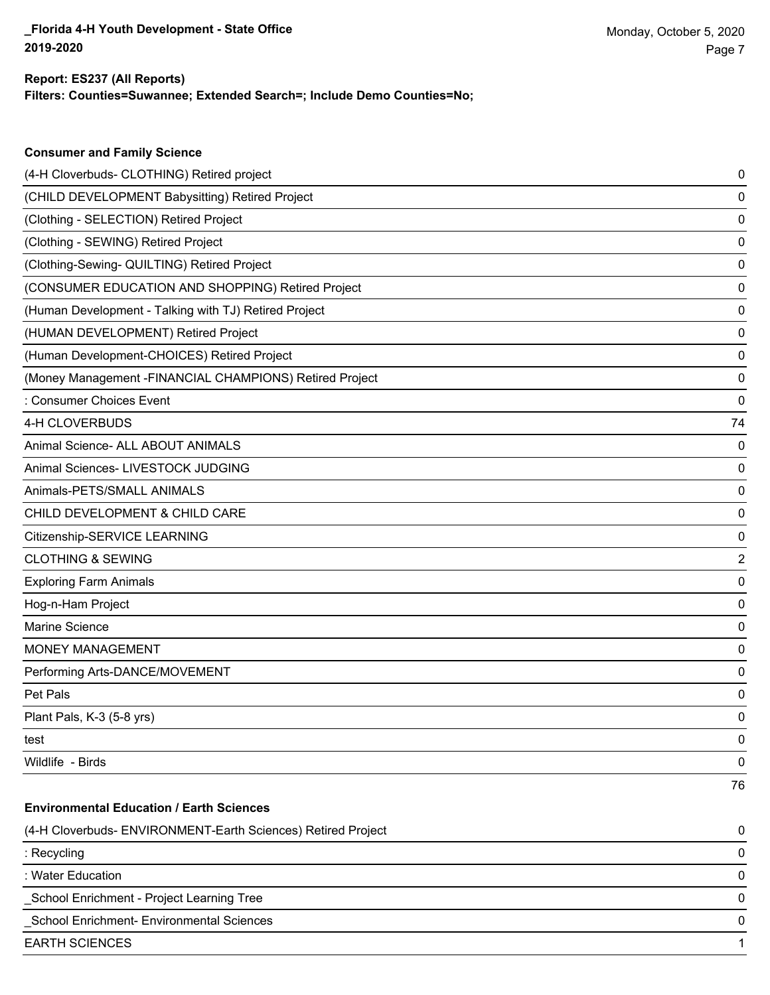**Consumer and Family Science**

**Filters: Counties=Suwannee; Extended Search=; Include Demo Counties=No;**

| (4-H Cloverbuds- CLOTHING) Retired project                   | 0  |
|--------------------------------------------------------------|----|
| (CHILD DEVELOPMENT Babysitting) Retired Project              | 0  |
| (Clothing - SELECTION) Retired Project                       | 0  |
| (Clothing - SEWING) Retired Project                          | 0  |
| (Clothing-Sewing- QUILTING) Retired Project                  | 0  |
| (CONSUMER EDUCATION AND SHOPPING) Retired Project            | 0  |
| (Human Development - Talking with TJ) Retired Project        | 0  |
| (HUMAN DEVELOPMENT) Retired Project                          | 0  |
| (Human Development-CHOICES) Retired Project                  | 0  |
| (Money Management - FINANCIAL CHAMPIONS) Retired Project     | 0  |
| : Consumer Choices Event                                     | 0  |
| 4-H CLOVERBUDS                                               | 74 |
| Animal Science- ALL ABOUT ANIMALS                            | 0  |
| Animal Sciences- LIVESTOCK JUDGING                           | 0  |
| Animals-PETS/SMALL ANIMALS                                   | 0  |
| CHILD DEVELOPMENT & CHILD CARE                               | 0  |
| Citizenship-SERVICE LEARNING                                 | 0  |
| <b>CLOTHING &amp; SEWING</b>                                 | 2  |
| <b>Exploring Farm Animals</b>                                | 0  |
| Hog-n-Ham Project                                            | 0  |
| <b>Marine Science</b>                                        | 0  |
| <b>MONEY MANAGEMENT</b>                                      | 0  |
| Performing Arts-DANCE/MOVEMENT                               | 0  |
| Pet Pals                                                     | 0  |
| Plant Pals, K-3 (5-8 yrs)                                    | 0  |
| test                                                         | 0  |
| Wildlife - Birds                                             | 0  |
|                                                              | 76 |
| <b>Environmental Education / Earth Sciences</b>              |    |
| (4-H Cloverbuds- ENVIRONMENT-Earth Sciences) Retired Project | 0  |
| : Recycling                                                  | 0  |
| : Water Education                                            | 0  |
| School Enrichment - Project Learning Tree                    | 0  |
| School Enrichment- Environmental Sciences                    | 0  |
| <b>EARTH SCIENCES</b>                                        | 1  |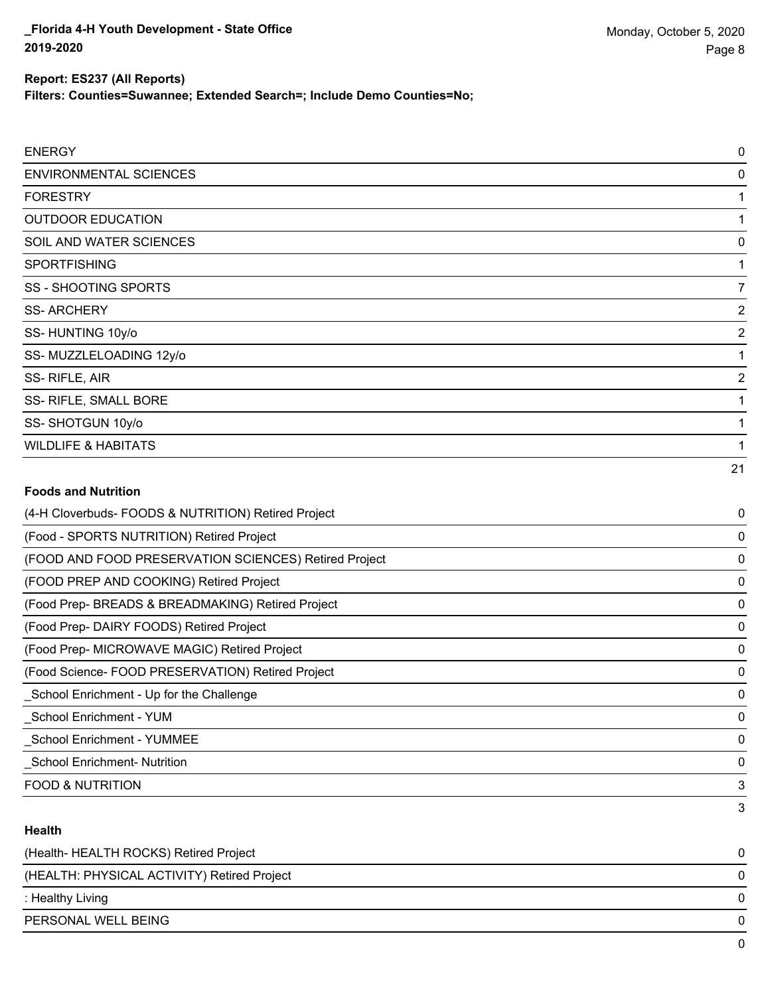**Filters: Counties=Suwannee; Extended Search=; Include Demo Counties=No;**

| <b>ENERGY</b>                                         | 0              |
|-------------------------------------------------------|----------------|
| <b>ENVIRONMENTAL SCIENCES</b>                         | $\mathbf 0$    |
| <b>FORESTRY</b>                                       | 1              |
| <b>OUTDOOR EDUCATION</b>                              | 1              |
| SOIL AND WATER SCIENCES                               | $\mathbf 0$    |
| <b>SPORTFISHING</b>                                   | 1              |
| <b>SS - SHOOTING SPORTS</b>                           | $\overline{7}$ |
| <b>SS-ARCHERY</b>                                     | $\overline{2}$ |
| SS-HUNTING 10y/o                                      | $\overline{2}$ |
| SS-MUZZLELOADING 12y/o                                | 1              |
| SS-RIFLE, AIR                                         | $\overline{2}$ |
| SS- RIFLE, SMALL BORE                                 | 1              |
| SS-SHOTGUN 10y/o                                      | 1              |
| <b>WILDLIFE &amp; HABITATS</b>                        | 1              |
|                                                       | 21             |
| <b>Foods and Nutrition</b>                            |                |
| (4-H Cloverbuds- FOODS & NUTRITION) Retired Project   | 0              |
| (Food - SPORTS NUTRITION) Retired Project             | 0              |
| (FOOD AND FOOD PRESERVATION SCIENCES) Retired Project | $\mathbf 0$    |
| (FOOD PREP AND COOKING) Retired Project               | 0              |
| (Food Prep- BREADS & BREADMAKING) Retired Project     | $\mathbf 0$    |
| (Food Prep- DAIRY FOODS) Retired Project              | $\mathbf 0$    |
| (Food Prep- MICROWAVE MAGIC) Retired Project          | $\mathbf 0$    |
| (Food Science- FOOD PRESERVATION) Retired Project     | 0              |
| School Enrichment - Up for the Challenge              | 0              |
| <b>School Enrichment - YUM</b>                        | $\mathbf 0$    |

\_School Enrichment - YUMMEE 0

\_School Enrichment- Nutrition 0

FOOD & NUTRITION 3

### **Health**

| (Health-HEALTH ROCKS) Retired Project       |   |
|---------------------------------------------|---|
| (HEALTH: PHYSICAL ACTIVITY) Retired Project | 0 |
| : Healthy Living                            | 0 |
| PERSONAL WELL BEING                         |   |
|                                             |   |

3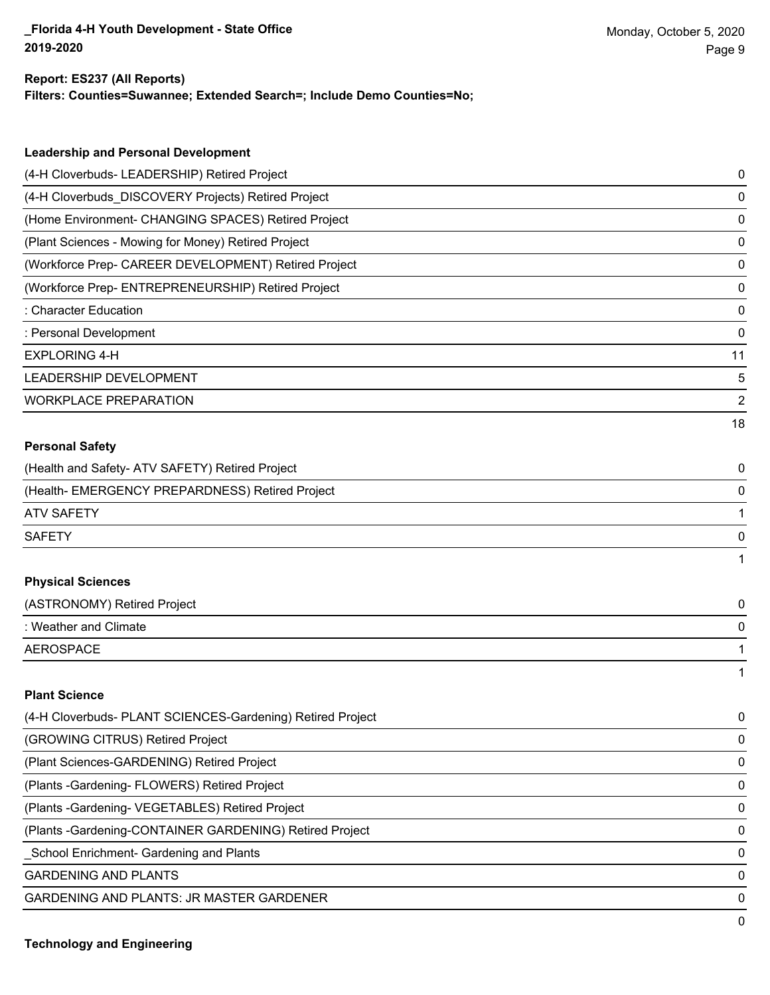**Filters: Counties=Suwannee; Extended Search=; Include Demo Counties=No;**

| <b>Leadership and Personal Development</b>                 |    |
|------------------------------------------------------------|----|
| (4-H Cloverbuds- LEADERSHIP) Retired Project               | 0  |
| (4-H Cloverbuds_DISCOVERY Projects) Retired Project        | 0  |
| (Home Environment- CHANGING SPACES) Retired Project        | 0  |
| (Plant Sciences - Mowing for Money) Retired Project        | 0  |
| (Workforce Prep- CAREER DEVELOPMENT) Retired Project       | 0  |
| (Workforce Prep- ENTREPRENEURSHIP) Retired Project         | 0  |
| : Character Education                                      | 0  |
| : Personal Development                                     | 0  |
| <b>EXPLORING 4-H</b>                                       | 11 |
| LEADERSHIP DEVELOPMENT                                     | 5  |
| <b>WORKPLACE PREPARATION</b>                               | 2  |
|                                                            | 18 |
| <b>Personal Safety</b>                                     |    |
| (Health and Safety- ATV SAFETY) Retired Project            | 0  |
| (Health- EMERGENCY PREPARDNESS) Retired Project            | 0  |
| <b>ATV SAFETY</b>                                          |    |
| <b>SAFETY</b>                                              | 0  |
|                                                            |    |
| <b>Physical Sciences</b>                                   |    |
| (ASTRONOMY) Retired Project                                | 0  |
| : Weather and Climate                                      | 0  |
| <b>AEROSPACE</b>                                           |    |
|                                                            |    |
| <b>Plant Science</b>                                       |    |
| (4-H Cloverbuds- PLANT SCIENCES-Gardening) Retired Project | 0  |
| (GROWING CITRUS) Retired Project                           | 0  |
| (Plant Sciences-GARDENING) Retired Project                 | 0  |
| (Plants - Gardening - FLOWERS) Retired Project             | 0  |
| (Plants - Gardening - VEGETABLES) Retired Project          | 0  |
| (Plants - Gardening-CONTAINER GARDENING) Retired Project   | 0  |
| School Enrichment- Gardening and Plants                    | 0  |

GARDENING AND PLANTS O

GARDENING AND PLANTS: JR MASTER GARDENER 0